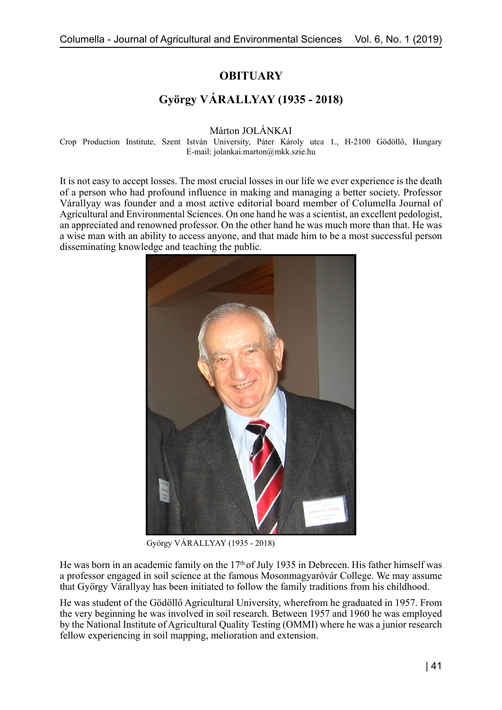**OBITUARY**

## **György VÁRALLYAY (1935 - 2018)**

Márton JOLÁNKAI

Crop Production Institute, Szent István University, Páter Károly utca 1., H-2100 Gödöllő, Hungary E-mail: jolankai.marton@mkk.szie.hu

It is not easy to accept losses. The most crucial losses in our life we ever experience is the death of a person who had profound influence in making and managing a better society. Professor Várallyay was founder and a most active editorial board member of Columella Journal of Agricultural and Environmental Sciences. On one hand he was a scientist, an excellent pedologist, an appreciated and renowned professor. On the other hand he was much more than that. He was a wise man with an ability to access anyone, and that made him to be a most successful person disseminating knowledge and teaching the public.



György VÁRALLYAY (1935 - 2018)

He was born in an academic family on the  $17<sup>th</sup>$  of July 1935 in Debrecen. His father himself was a professor engaged in soil science at the famous Mosonmagyaróvár College. We may assume that György Várallyay has been initiated to follow the family traditions from his childhood.

He was student of the Gödöllő Agricultural University, wherefrom he graduated in 1957. From the very beginning he was involved in soil research. Between 1957 and 1960 he was employed by the National Institute of Agricultural Quality Testing (OMMI) where he was a junior research fellow experiencing in soil mapping, melioration and extension.